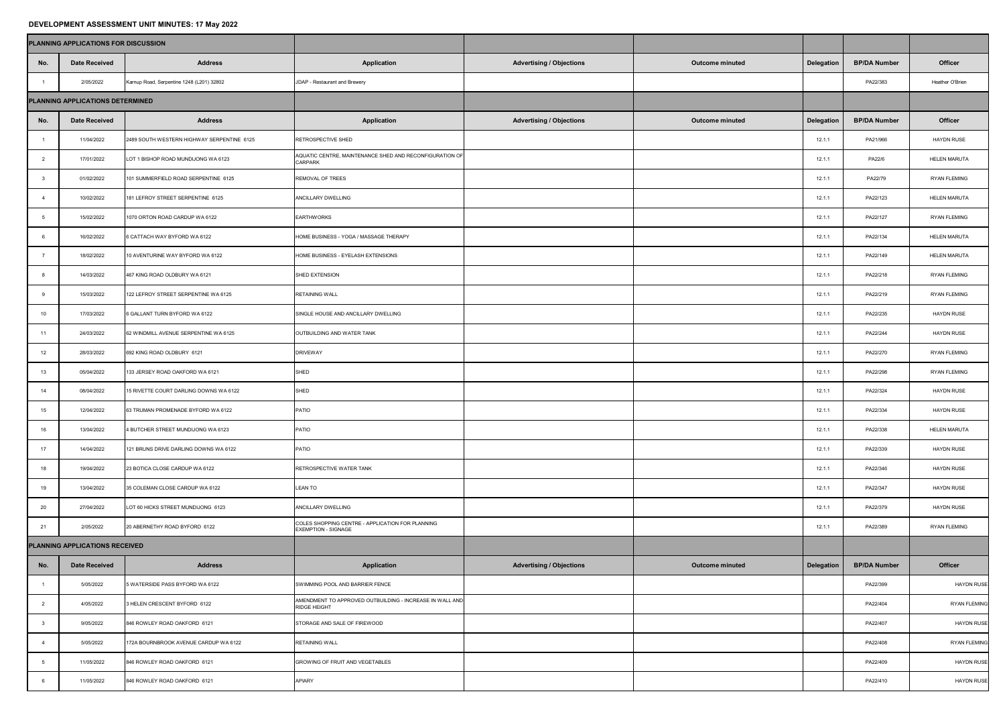## **DEVELOPMENT ASSESSMENT UNIT MINUTES: 17 May 2022**

|                                  | PLANNING APPLICATIONS FOR DISCUSSION |                                            |                                                                                 |                                 |                        |                   |                     |                     |
|----------------------------------|--------------------------------------|--------------------------------------------|---------------------------------------------------------------------------------|---------------------------------|------------------------|-------------------|---------------------|---------------------|
| No.                              | <b>Date Received</b>                 | <b>Address</b>                             | <b>Application</b>                                                              | <b>Advertising / Objections</b> | <b>Outcome minuted</b> | <b>Delegation</b> | <b>BP/DA Number</b> | <b>Officer</b>      |
|                                  | 2/05/2022                            | Karnup Road, Serpentine 1248 (L201) 32802  | JDAP - Restaurant and Brewery                                                   |                                 |                        |                   | PA22/383            | Heather O'Brien     |
| PLANNING APPLICATIONS DETERMINED |                                      |                                            |                                                                                 |                                 |                        |                   |                     |                     |
| No.                              | <b>Date Received</b>                 | <b>Address</b>                             | <b>Application</b>                                                              | <b>Advertising / Objections</b> | <b>Outcome minuted</b> | <b>Delegation</b> | <b>BP/DA Number</b> | <b>Officer</b>      |
|                                  | 11/04/2022                           | 2489 SOUTH WESTERN HIGHWAY SERPENTINE 6125 | RETROSPECTIVE SHED                                                              |                                 |                        | 12.1.1            | PA21/966            | <b>HAYDN RUSE</b>   |
|                                  | 17/01/2022                           | LOT 1 BISHOP ROAD MUNDIJONG WA 6123        | AQUATIC CENTRE, MAINTENANCE SHED AND RECONFIGURATION OF<br><b>CARPARK</b>       |                                 |                        | 12.1.1            | PA22/6              | <b>HELEN MARUTA</b> |
|                                  | 01/02/2022                           | 101 SUMMERFIELD ROAD SERPENTINE 6125       | REMOVAL OF TREES                                                                |                                 |                        | 12.1.1            | PA22/79             | <b>RYAN FLEMING</b> |
|                                  | 10/02/2022                           | 181 LEFROY STREET SERPENTINE 6125          | ANCILLARY DWELLING                                                              |                                 |                        | 12.1.1            | PA22/123            | <b>HELEN MARUTA</b> |
|                                  | 15/02/2022                           | 1070 ORTON ROAD CARDUP WA 6122             | <b>EARTHWORKS</b>                                                               |                                 |                        | 12.1.1            | PA22/127            | <b>RYAN FLEMING</b> |
|                                  | 16/02/2022                           | 6 CATTACH WAY BYFORD WA 6122               | HOME BUSINESS - YOGA / MASSAGE THERAPY                                          |                                 |                        | 12.1.1            | PA22/134            | <b>HELEN MARUTA</b> |
|                                  | 18/02/2022                           | 10 AVENTURINE WAY BYFORD WA 6122           | HOME BUSINESS - EYELASH EXTENSIONS                                              |                                 |                        | 12.1.1            | PA22/149            | <b>HELEN MARUTA</b> |
|                                  | 14/03/2022                           | 467 KING ROAD OLDBURY WA 6121              | SHED EXTENSION                                                                  |                                 |                        | 12.1.1            | PA22/218            | <b>RYAN FLEMING</b> |
|                                  | 15/03/2022                           | 122 LEFROY STREET SERPENTINE WA 6125       | <b>RETAINING WALL</b>                                                           |                                 |                        | 12.1.1            | PA22/219            | <b>RYAN FLEMING</b> |
| 10                               | 17/03/2022                           | 6 GALLANT TURN BYFORD WA 6122              | SINGLE HOUSE AND ANCILLARY DWELLING                                             |                                 |                        | 12.1.1            | PA22/235            | <b>HAYDN RUSE</b>   |
| 11                               | 24/03/2022                           | 62 WINDMILL AVENUE SERPENTINE WA 6125      | OUTBUILDING AND WATER TANK                                                      |                                 |                        | 12.1.1            | PA22/244            | <b>HAYDN RUSE</b>   |
| 12                               | 28/03/2022                           | 692 KING ROAD OLDBURY 6121                 | <b>DRIVEWAY</b>                                                                 |                                 |                        | 12.1.1            | PA22/270            | <b>RYAN FLEMING</b> |
| 13                               | 05/04/2022                           | 133 JERSEY ROAD OAKFORD WA 6121            | SHED                                                                            |                                 |                        | 12.1.1            | PA22/298            | <b>RYAN FLEMING</b> |
| 14                               | 08/04/2022                           | 15 RIVETTE COURT DARLING DOWNS WA 6122     | SHED                                                                            |                                 |                        | 12.1.1            | PA22/324            | <b>HAYDN RUSE</b>   |
| 15                               | 12/04/2022                           | 63 TRUMAN PROMENADE BYFORD WA 6122         | PATIO                                                                           |                                 |                        | 12.1.1            | PA22/334            | <b>HAYDN RUSE</b>   |
| 16                               | 13/04/2022                           | 4 BUTCHER STREET MUNDIJONG WA 6123         | PATIO                                                                           |                                 |                        | 12.1.1            | PA22/338            | <b>HELEN MARUTA</b> |
| 17                               | 14/04/2022                           | 121 BRUNS DRIVE DARLING DOWNS WA 6122      | PATIO                                                                           |                                 |                        | 12.1.1            | PA22/339            | <b>HAYDN RUSE</b>   |
| 18                               | 19/04/2022                           | 23 BOTICA CLOSE CARDUP WA 6122             | RETROSPECTIVE WATER TANK                                                        |                                 |                        | 12.1.1            | PA22/346            | <b>HAYDN RUSE</b>   |
| 19                               | 13/04/2022                           | 35 COLEMAN CLOSE CARDUP WA 6122            | <b>LEAN TO</b>                                                                  |                                 |                        | 12.1.1            | PA22/347            | <b>HAYDN RUSE</b>   |
| 20                               | 27/04/2022                           | LOT 60 HICKS STREET MUNDIJONG 6123         | ANCILLARY DWELLING                                                              |                                 |                        | 12.1.1            | PA22/379            | <b>HAYDN RUSE</b>   |
| 21                               | 2/05/2022                            | 20 ABERNETHY ROAD BYFORD 6122              | COLES SHOPPING CENTRE - APPLICATION FOR PLANNING<br><b>EXEMPTION - SIGNAGE</b>  |                                 |                        | 12.1.1            | PA22/389            | <b>RYAN FLEMING</b> |
| PLANNING APPLICATIONS RECEIVED   |                                      |                                            |                                                                                 |                                 |                        |                   |                     |                     |
| No.                              | <b>Date Received</b>                 | <b>Address</b>                             | <b>Application</b>                                                              | <b>Advertising / Objections</b> | <b>Outcome minuted</b> | <b>Delegation</b> | <b>BP/DA Number</b> | <b>Officer</b>      |
|                                  | 5/05/2022                            | 5 WATERSIDE PASS BYFORD WA 6122            | SWIMMING POOL AND BARRIER FENCE                                                 |                                 |                        |                   | PA22/399            | <b>HAYDN RUSE</b>   |
|                                  | 4/05/2022                            | 3 HELEN CRESCENT BYFORD 6122               | AMENDMENT TO APPROVED OUTBUILDING - INCREASE IN WALL AND<br><b>RIDGE HEIGHT</b> |                                 |                        |                   | PA22/404            | <b>RYAN FLEMING</b> |
|                                  | 9/05/2022                            | 846 ROWLEY ROAD OAKFORD 6121               | STORAGE AND SALE OF FIREWOOD                                                    |                                 |                        |                   | PA22/407            | <b>HAYDN RUSE</b>   |
|                                  | 5/05/2022                            | 172A BOURNBROOK AVENUE CARDUP WA 6122      | <b>RETAINING WALL</b>                                                           |                                 |                        |                   | PA22/408            | <b>RYAN FLEMING</b> |
|                                  | 11/05/2022                           | 846 ROWLEY ROAD OAKFORD 6121               | <b>GROWING OF FRUIT AND VEGETABLES</b>                                          |                                 |                        |                   | PA22/409            | <b>HAYDN RUSE</b>   |
|                                  | 11/05/2022                           | 846 ROWLEY ROAD OAKFORD 6121               | <b>APIARY</b>                                                                   |                                 |                        |                   | PA22/410            | <b>HAYDN RUSE</b>   |